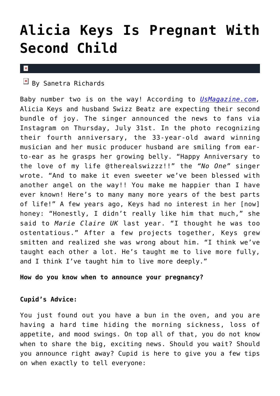## **[Alicia Keys Is Pregnant With](https://cupidspulse.com/78749/alicia-keys-pregnant-second-child/) [Second Child](https://cupidspulse.com/78749/alicia-keys-pregnant-second-child/)**

## $\mathbf x$

 $\mathbb{F}$  By Sanetra Richards

Baby number two is on the way! According to *[UsMagazine.com,](http://www.usmagazine.com/celebrity-moms/news/alicia-keys-pregnant-with-second-child-see-her-bump-2014317)* Alicia Keys and husband Swizz Beatz are expecting their second bundle of joy. The singer announced the news to fans via Instagram on Thursday, July 31st. In the photo recognizing their fourth anniversary, the 33-year-old award winning musician and her music producer husband are smiling from earto-ear as he grasps her growing belly. "Happy Anniversary to the love of my life @therealswizzz!!" the *"No One"* singer wrote. "And to make it even sweeter we've been blessed with another angel on the way!! You make me happier than I have ever known! Here's to many many more years of the best parts of life!" A few years ago, Keys had no interest in her [now] honey: "Honestly, I didn't really like him that much," she said to *Marie Claire UK* last year. "I thought he was too ostentatious." After a few projects together, Keys grew smitten and realized she was wrong about him. "I think we've taught each other a lot. He's taught me to live more fully, and I think I've taught him to live more deeply."

## **How do you know when to announce your pregnancy?**

## **Cupid's Advice:**

You just found out you have a bun in the oven, and you are having a hard time hiding the morning sickness, loss of appetite, and mood swings. On top all of that, you do not know when to share the big, exciting news. Should you wait? Should you announce right away? Cupid is here to give you a few tips on when exactly to tell everyone: